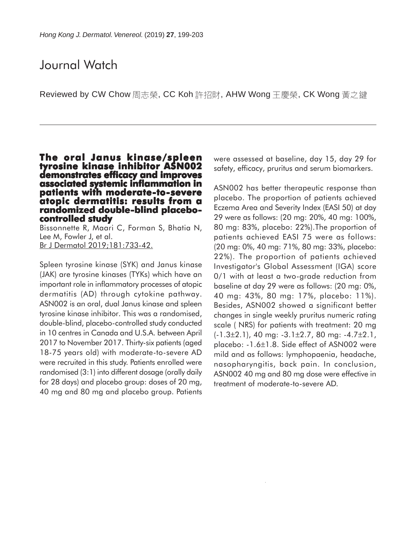# Journal Watch

Reviewed by CW Chow 周志榮, CC Koh 許招財, AHW Wong 王慶榮, CK Wong 黃之鍵

## **The oral Janus kinase/spleen tyrosine kinase inhibitor ASN002 demonstrates efficacy and improves associated systemic inflammation in patients with moderate-to-severe atopic dermatitis: results from a randomized double-blind placebo- controlled study**

Bissonnette R, Maari C, Forman S, Bhatia N, Lee M, Fowler J, et al. Br J Dermatol 2019;181:733-42.

Spleen tyrosine kinase (SYK) and Janus kinase (JAK) are tyrosine kinases (TYKs) which have an important role in inflammatory processes of atopic dermatitis (AD) through cytokine pathway. ASN002 is an oral, dual Janus kinase and spleen tyrosine kinase inhibitor. This was a randomised, double-blind, placebo-controlled study conducted in 10 centres in Canada and U.S.A. between April 2017 to November 2017. Thirty-six patients (aged 18-75 years old) with moderate-to-severe AD were recruited in this study. Patients enrolled were randomised (3:1) into different dosage (orally daily for 28 days) and placebo group: doses of 20 mg, 40 mg and 80 mg and placebo group. Patients were assessed at baseline, day 15, day 29 for safety, efficacy, pruritus and serum biomarkers.

ASN002 has better therapeutic response than placebo. The proportion of patients achieved Eczema Area and Severity Index (EASI 50) at day 29 were as follows: (20 mg: 20%, 40 mg: 100%, 80 mg: 83%, placebo: 22%).The proportion of patients achieved EASI 75 were as follows: (20 mg: 0%, 40 mg: 71%, 80 mg: 33%, placebo: 22%). The proportion of patients achieved Investigator's Global Assessment (IGA) score 0/1 with at least a two-grade reduction from baseline at day 29 were as follows: (20 mg: 0%, 40 mg: 43%, 80 mg: 17%, placebo: 11%). Besides, ASN002 showed a significant better changes in single weekly pruritus numeric rating scale ( NRS) for patients with treatment: 20 mg  $(-1.3\pm2.1)$ , 40 mg:  $-3.1\pm2.7$ , 80 mg:  $-4.7\pm2.1$ , placebo: -1.6±1.8. Side effect of ASN002 were mild and as follows: lymphopaenia, headache, nasopharyngitis, back pain. In conclusion, ASN002 40 mg and 80 mg dose were effective in treatment of moderate-to-severe AD.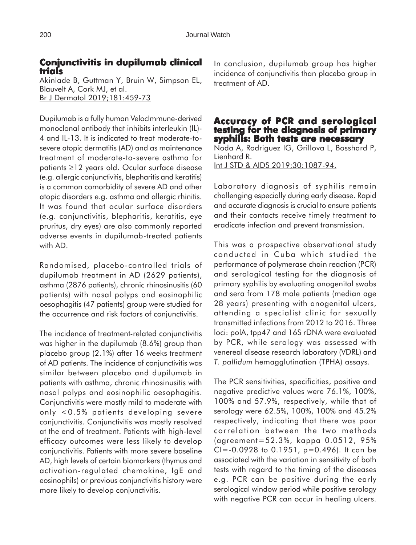## **Conjunctivitis in dupilumab clinical dupilumab trials**

Akinlade B, Guttman Y, Bruin W, Simpson EL, Blauvelt A, Cork MJ, et al. Br J Dermatol 2019;181:459-73

Dupilumab is a fully human VelocImmune-derived monoclonal antibody that inhibits interleukin (IL)- 4 and IL-13. It is indicated to treat moderate-tosevere atopic dermatitis (AD) and as maintenance treatment of moderate-to-severe asthma for patients ≥12 years old. Ocular surface disease (e.g. allergic conjunctivitis, blepharitis and keratitis) is a common comorbidity of severe AD and other atopic disorders e.g. asthma and allergic rhinitis. It was found that ocular surface disorders (e.g. conjunctivitis, blepharitis, keratitis, eye pruritus, dry eyes) are also commonly reported adverse events in dupilumab-treated patients with AD.

Randomised, placebo-controlled trials of dupilumab treatment in AD (2629 patients), asthma (2876 patients), chronic rhinosinusitis (60 patients) with nasal polyps and eosinophilic oesophagitis (47 patients) group were studied for the occurrence and risk factors of conjunctivitis.

The incidence of treatment-related conjunctivitis was higher in the dupilumab (8.6%) group than placebo group (2.1%) after 16 weeks treatment of AD patients. The incidence of conjunctivitis was similar between placebo and dupilumab in patients with asthma, chronic rhinosinusitis with nasal polyps and eosinophilic oesophagitis. Conjunctivitis were mostly mild to moderate with only <0.5% patients developing severe conjunctivitis. Conjunctivitis was mostly resolved at the end of treatment. Patients with high-level efficacy outcomes were less likely to develop conjunctivitis. Patients with more severe baseline AD, high levels of certain biomarkers (thymus and activation-regulated chemokine, IgE and eosinophils) or previous conjunctivitis history were more likely to develop conjunctivitis.

In conclusion, dupilumab group has higher incidence of conjunctivitis than placebo group in treatment of AD.

#### **Accuracy of PCR and serological Accuracy and serological testing for the diagnosis of primary syphilis: Both tests are necessary**

Noda A, Rodriguez IG, Grillova L, Bosshard P, Lienhard R. Int J STD & AIDS 2019;30:1087-94.

Laboratory diagnosis of syphilis remain challenging especially during early disease. Rapid and accurate diagnosis is crucial to ensure patients and their contacts receive timely treatment to eradicate infection and prevent transmission.

This was a prospective observational study conducted in Cuba which studied the performance of polymerase chain reaction (PCR) and serological testing for the diagnosis of primary syphilis by evaluating anogenital swabs and sera from 178 male patients (median age 28 years) presenting with anogenital ulcers, attending a specialist clinic for sexually transmitted infections from 2012 to 2016. Three loci: polA, tpp47 and 16S rDNA were evaluated by PCR, while serology was assessed with venereal disease research laboratory (VDRL) and *T. pallidum* hemagglutination (TPHA) assays.

The PCR sensitivities, specificities, positive and negative predictive values were 76.1%, 100%, 100% and 57.9%, respectively, while that of serology were 62.5%, 100%, 100% and 45.2% respectively, indicating that there was poor correlation between the two methods (agreement=52.3%, kappa 0.0512, 95% CI=-0.0928 to 0.1951, p=0.496). It can be associated with the variation in sensitivity of both tests with regard to the timing of the diseases e.g. PCR can be positive during the early serological window period while positive serology with negative PCR can occur in healing ulcers.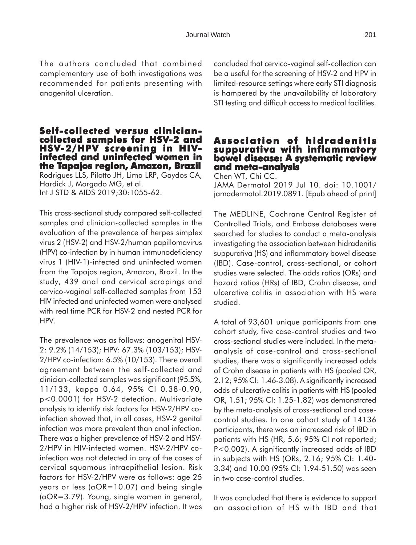The authors concluded that combined complementary use of both investigations was recommended for patients presenting with anogenital ulceration.

# **Self-collected versus cliniciancollected samples for HSV-2 and HSV-2/HPV screening in HIV- infected and uninfected women in the Tapajos region, Amazon, Brazil apajos Brazil**

Rodrigues LLS, Pilotto JH, Lima LRP, Gaydos CA, Hardick J, Morgado MG, et al. Int J STD & AIDS 2019;30:1055-62.

This cross-sectional study compared self-collected samples and clinician-collected samples in the evaluation of the prevalence of herpes simplex virus 2 (HSV-2) and HSV-2/human papillomavirus (HPV) co-infection by in human immunodeficiency virus 1 (HIV-1)-infected and uninfected women from the Tapajos region, Amazon, Brazil. In the study, 439 anal and cervical scrapings and cervico-vaginal self-collected samples from 153 HIV infected and uninfected women were analysed with real time PCR for HSV-2 and nested PCR for HPV.

The prevalence was as follows: anogenital HSV-2: 9.2% (14/153); HPV: 67.3% (103/153); HSV-2/HPV co-infection: 6.5% (10/153). There overall agreement between the self-collected and clinician-collected samples was significant (95.5%, 11/133, kappa 0.64, 95% CI 0.38-0.90, p<0.0001) for HSV-2 detection. Multivariate analysis to identify risk factors for HSV-2/HPV coinfection showed that, in all cases, HSV-2 genital infection was more prevalent than anal infection. There was a higher prevalence of HSV-2 and HSV-2/HPV in HIV-infected women. HSV-2/HPV coinfection was not detected in any of the cases of cervical squamous intraepithelial lesion. Risk factors for HSV-2/HPV were as follows: age 25 years or less (aOR=10.07) and being single (aOR=3.79). Young, single women in general, had a higher risk of HSV-2/HPV infection. It was

concluded that cervico-vaginal self-collection can be a useful for the screening of HSV-2 and HPV in limited-resource settings where early STI diagnosis is hampered by the unavailability of laboratory STI testing and difficult access to medical facilities.

### **Association of hidradenitis suppurativa with inflammatory bowel disease: A systematic review and meta-analysis**

Chen WT, Chi CC. JAMA Dermatol 2019 Jul 10. doi: 10.1001/ jamadermatol.2019.0891. [Epub ahead of print]

The MEDLINE, Cochrane Central Register of Controlled Trials, and Embase databases were searched for studies to conduct a meta-analysis investigating the association between hidradenitis suppurativa (HS) and inflammatory bowel disease (IBD). Case-control, cross-sectional, or cohort studies were selected. The odds ratios (ORs) and hazard ratios (HRs) of IBD, Crohn disease, and ulcerative colitis in association with HS were studied.

A total of 93,601 unique participants from one cohort study, five case-control studies and two cross-sectional studies were included. In the metaanalysis of case-control and cross-sectional studies, there was a significantly increased odds of Crohn disease in patients with HS (pooled OR, 2.12; 95% CI: 1.46-3.08). A significantly increased odds of ulcerative colitis in patients with HS (pooled OR, 1.51; 95% CI: 1.25-1.82) was demonstrated by the meta-analysis of cross-sectional and casecontrol studies. In one cohort study of 14136 participants, there was an increased risk of IBD in patients with HS (HR, 5.6; 95% CI not reported; P<0.002). A significantly increased odds of IBD in subjects with HS (ORs, 2.16; 95% CI: 1.40- 3.34) and 10.00 (95% CI: 1.94-51.50) was seen in two case-control studies.

It was concluded that there is evidence to support an association of HS with IBD and that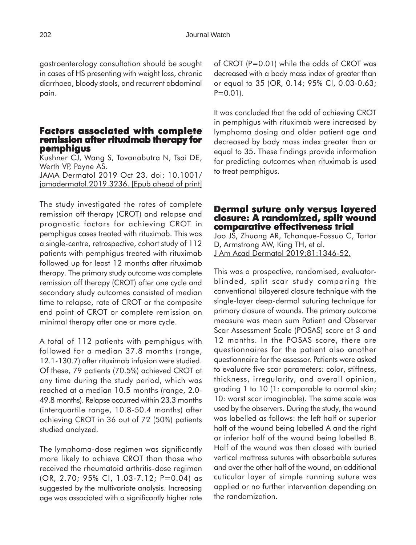gastroenterology consultation should be sought in cases of HS presenting with weight loss, chronic diarrhoea, bloody stools, and recurrent abdominal pain.

#### **Factors associated with complete remission after rituximab therapy for pemphigus**

Kushner CJ, Wang S, Tovanabutra N, Tsai DE, Werth VP, Payne AS. JAMA Dermatol 2019 Oct 23. doi: 10.1001/ jamadermatol.2019.3236. [Epub ahead of print]

The study investigated the rates of complete remission off therapy (CROT) and relapse and prognostic factors for achieving CROT in pemphigus cases treated with rituximab. This was a single-centre, retrospective, cohort study of 112 patients with pemphigus treated with rituximab followed up for least 12 months after rituximab therapy. The primary study outcome was complete remission off therapy (CROT) after one cycle and secondary study outcomes consisted of median time to relapse, rate of CROT or the composite end point of CROT or complete remission on minimal therapy after one or more cycle.

A total of 112 patients with pemphigus with followed for a median 37.8 months (range, 12.1-130.7) after rituximab infusion were studied. Of these, 79 patients (70.5%) achieved CROT at any time during the study period, which was reached at a median 10.5 months (range, 2.0- 49.8 months). Relapse occurred within 23.3 months (interquartile range, 10.8-50.4 months) after achieving CROT in 36 out of 72 (50%) patients studied analyzed.

The lymphoma-dose regimen was significantly more likely to achieve CROT than those who received the rheumatoid arthritis-dose regimen (OR, 2.70; 95% CI, 1.03-7.12; P=0.04) as suggested by the multivariate analysis. Increasing age was associated with a significantly higher rate of CROT (P=0.01) while the odds of CROT was decreased with a body mass index of greater than or equal to 35 (OR, 0.14; 95% CI, 0.03-0.63;  $P=0.01$ ).

It was concluded that the odd of achieving CROT in pemphigus with rituximab were increased by lymphoma dosing and older patient age and decreased by body mass index greater than or equal to 35. These findings provide information for predicting outcomes when rituximab is used to treat pemphigus.

#### **Dermal suture only versus layered closure: A randomized, split wound comparative effectiveness trial effectiveness trial**

Joo JS, Zhuang AR, Tchanque-Fossuo C, Tartar D, Armstrong AW, King TH, et al. J Am Acad Dermatol 2019;81:1346-52.

This was a prospective, randomised, evaluatorblinded, split scar study comparing the conventional bilayered closure technique with the single-layer deep-dermal suturing technique for primary closure of wounds. The primary outcome measure was mean sum Patient and Observer Scar Assessment Scale (POSAS) score at 3 and 12 months. In the POSAS score, there are questionnaires for the patient also another questionnaire for the assessor. Patients were asked to evaluate five scar parameters: color, stiffness, thickness, irregularity, and overall opinion, grading 1 to 10 (1: comparable to normal skin; 10: worst scar imaginable). The same scale was used by the observers. During the study, the wound was labelled as follows: the left half or superior half of the wound being labelled A and the right or inferior half of the wound being labelled B. Half of the wound was then closed with buried vertical mattress sutures with absorbable sutures and over the other half of the wound, an additional cuticular layer of simple running suture was applied or no further intervention depending on the randomization.